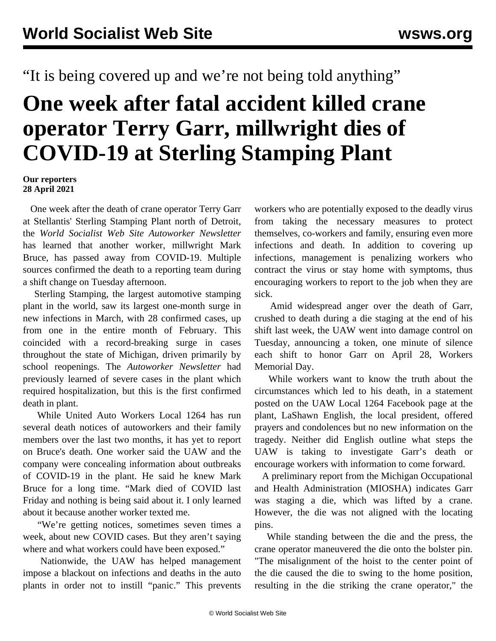"It is being covered up and we're not being told anything"

## **One week after fatal accident killed crane operator Terry Garr, millwright dies of COVID-19 at Sterling Stamping Plant**

## **Our reporters 28 April 2021**

 One week after the death of crane operator Terry Garr at Stellantis' Sterling Stamping Plant north of Detroit, the *World Socialist Web Site Autoworker Newsletter* has learned that another worker, millwright Mark Bruce, has passed away from COVID-19. Multiple sources confirmed the death to a reporting team during a shift change on Tuesday afternoon.

 Sterling Stamping, the largest automotive stamping plant in the world, saw its [largest one-month surge](/en/articles/2021/04/02/ssp-a02.html) in new infections in March, with 28 confirmed cases, up from one in the entire month of February. This coincided with a record-breaking surge in cases throughout the state of Michigan, [driven primarily by](/en/articles/2021/04/14/mich-a14.html) [school reopenings.](/en/articles/2021/04/14/mich-a14.html) The *Autoworker Newsletter* had previously learned of severe cases in the plant which required hospitalization, but this is the first confirmed death in plant.

 While United Auto Workers Local 1264 has run several death notices of autoworkers and their family members over the last two months, it has yet to report on Bruce's death. One worker said the UAW and the company were concealing information about outbreaks of COVID-19 in the plant. He said he knew Mark Bruce for a long time. "Mark died of COVID last Friday and nothing is being said about it. I only learned about it because another worker texted me.

 "We're getting notices, sometimes seven times a week, about new COVID cases. But they aren't saying where and what workers could have been exposed."

 Nationwide, the UAW has helped management impose a blackout on infections and deaths in the auto plants in order not to instill "panic." This prevents

workers who are potentially exposed to the deadly virus from taking the necessary measures to protect themselves, co-workers and family, ensuring even more infections and death. In addition to covering up infections, management is penalizing workers who contract the virus or stay home with symptoms, thus encouraging workers to report to the job when they are sick.

 Amid widespread anger over the death of Garr, crushed to death during a die staging at the end of his shift last week, the UAW went into damage control on Tuesday, announcing a token, one minute of silence each shift to honor Garr on April 28, Workers Memorial Day.

 While workers want to know the truth about the circumstances which led to his death, in a statement posted on the UAW Local 1264 Facebook page at the plant, LaShawn English, the local president, offered prayers and condolences but no new information on the tragedy. Neither did English outline what steps the UAW is taking to investigate Garr's death or encourage workers with information to come forward.

 A preliminary report from the Michigan Occupational and Health Administration (MIOSHA) indicates Garr was staging a die, which was lifted by a crane. However, the die was not aligned with the locating pins.

 While standing between the die and the press, the crane operator maneuvered the die onto the bolster pin. "The misalignment of the hoist to the center point of the die caused the die to swing to the home position, resulting in the die striking the crane operator," the